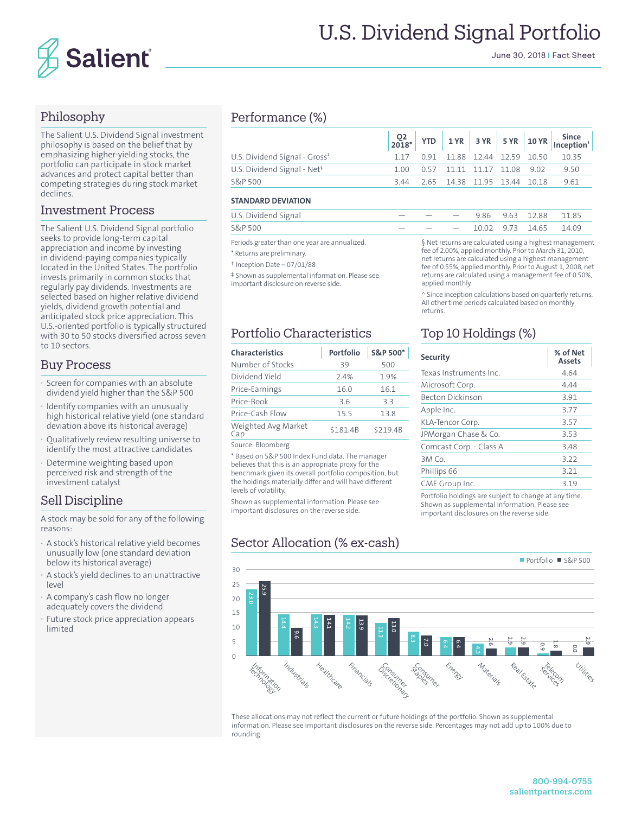

# U.S. Dividend Signal Portfolio

June 30, 2018 | Fact Sheet

## Philosophy

The Salient U.S. Dividend Signal investment philosophy is based on the belief that by emphasizing higher-yielding stocks, the portfolio can participate in stock market advances and protect capital better than competing strategies during stock market declines.

### Investment Process

The Salient U.S. Dividend Signal portfolio seeks to provide long-term capital appreciation and income by investing in dividend-paying companies typically located in the United States. The portfolio invests primarily in common stocks that regularly pay dividends. Investments are selected based on higher relative dividend yields, dividend growth potential and anticipated stock price appreciation. This U.S.-oriented portfolio is typically structured with 30 to 50 stocks diversified across seven to 10 sectors.

### Buy Process

- **·** Screen for companies with an absolute dividend yield higher than the S&P 500
- **·** Identify companies with an unusually high historical relative yield (one standard deviation above its historical average)
- **·** Qualitatively review resulting universe to identify the most attractive candidates
- **·** Determine weighting based upon perceived risk and strength of the investment catalyst

# Sell Discipline

A stock may be sold for any of the following reasons:

- **·** A stock's historical relative yield becomes unusually low (one standard deviation below its historical average)
- **·** A stock's yield declines to an unattractive level
- **·** A company's cash flow no longer adequately covers the dividend
- **·** Future stock price appreciation appears limited

## Performance (%)

| U.S. Dividend Signal - Gross <sup>*</sup> |  |  |  | 1.17 0.91 11.88 12.44 12.59 10.50 10.35     |
|-------------------------------------------|--|--|--|---------------------------------------------|
| U.S. Dividend Signal - Net <sup>§</sup>   |  |  |  | 1.00  0.57  11.11  11.17  11.08  9.02  9.50 |
| S&P 500                                   |  |  |  | 3.44 2.65 14.38 11.95 13.44 10.18 9.61      |

#### **STANDARD DEVIATION**

| U.S. Dividend Signal |  |  | $  -$ 9.86 9.63 12.88 11.85  |  |
|----------------------|--|--|------------------------------|--|
| <b>S&amp;P 500</b>   |  |  | $  -$ 10.02 9.73 14.65 14.09 |  |

Periods greater than one year are annualized.

\* Returns are preliminary.

- † Inception Date 07/01/88
- ‡ Shown as supplemental information. Please see important disclosure on reverse side.

## Portfolio Characteristics

| <b>Characteristics</b>     | Portfolio | S&P 500* |
|----------------------------|-----------|----------|
| Number of Stocks           | 39        | 500      |
| Dividend Yield             | 2.4%      | 1.9%     |
| Price-Earnings             | 16.0      | 16.1     |
| Price-Book                 | 36        | 33       |
| Price-Cash Flow            | 15.5      | 13.8     |
| Weighted Avg Market<br>Cap | \$181.4B  | \$219.4B |

Source: Bloomberg

\* Based on S&P 500 Index Fund data. The manager believes that this is an appropriate proxy for the benchmark given its overall portfolio composition, but the holdings materially differ and will have different levels of volatility.

Shown as supplemental information. Please see important disclosures on the reverse side.

# Sector Allocation (% ex-cash)

#### § Net returns are calculated using a highest management fee of 2.00%, applied monthly. Prior to March 31, 2010, net returns are calculated using a highest management fee of 0.55%, applied monthly. Prior to August 1, 2008, net returns are calculated using a management fee of 0.50%, applied monthly.

^ Since inception calculations based on quarterly returns. All other time periods calculated based on monthly returns.

# Top 10 Holdings (%)

| <b>Security</b>         | % of Net<br><b>Assets</b> |
|-------------------------|---------------------------|
| Texas Instruments Inc.  | 4.64                      |
| Microsoft Corp.         | 4.44                      |
| <b>Becton Dickinson</b> | 3.91                      |
| Apple Inc.              | 3.77                      |
| KLA-Tencor Corp.        | 3.57                      |
| JPMorgan Chase & Co.    | 3.53                      |
| Comcast Corp. - Class A | 3.48                      |
| 3M Co.                  | 3.22                      |
| Phillips 66             | 3.21                      |
| CME Group Inc.          | 3.19                      |
|                         |                           |

Portfolio holdings are subject to change at any time. Shown as supplemental information. Please see important disclosures on the reverse side.



These allocations may not reflect the current or future holdings of the portfolio. Shown as supplemental information. Please see important disclosures on the reverse side. Percentages may not add up to 100% due to rounding.